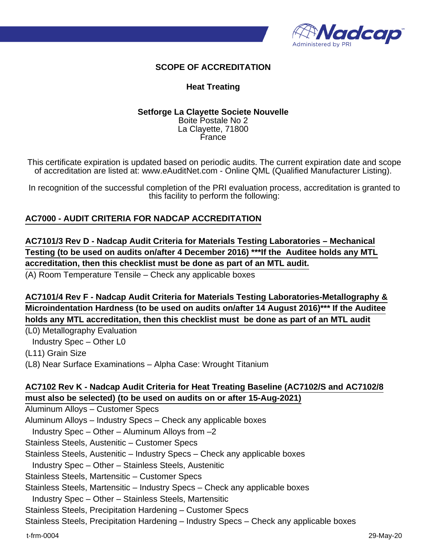

## **SCOPE OF ACCREDITATION**

#### **Heat Treating**

#### **Setforge La Clayette Societe Nouvelle** Boite Postale No 2 La Clayette, 71800 France

This certificate expiration is updated based on periodic audits. The current expiration date and scope of accreditation are listed at: www.eAuditNet.com - Online QML (Qualified Manufacturer Listing).

In recognition of the successful completion of the PRI evaluation process, accreditation is granted to this facility to perform the following:

### **AC7000 - AUDIT CRITERIA FOR NADCAP ACCREDITATION**

**AC7101/3 Rev D - Nadcap Audit Criteria for Materials Testing Laboratories – Mechanical Testing (to be used on audits on/after 4 December 2016) \*\*\*If the Auditee holds any MTL accreditation, then this checklist must be done as part of an MTL audit.**

(A) Room Temperature Tensile – Check any applicable boxes

**AC7101/4 Rev F - Nadcap Audit Criteria for Materials Testing Laboratories-Metallography & Microindentation Hardness (to be used on audits on/after 14 August 2016)\*\*\* If the Auditee holds any MTL accreditation, then this checklist must be done as part of an MTL audit**

(L0) Metallography Evaluation Industry Spec – Other L0 (L11) Grain Size

(L8) Near Surface Examinations – Alpha Case: Wrought Titanium

## **AC7102 Rev K - Nadcap Audit Criteria for Heat Treating Baseline (AC7102/S and AC7102/8 must also be selected) (to be used on audits on or after 15-Aug-2021)**

Aluminum Alloys – Customer Specs Aluminum Alloys – Industry Specs – Check any applicable boxes Industry Spec – Other – Aluminum Alloys from –2 Stainless Steels, Austenitic – Customer Specs Stainless Steels, Austenitic – Industry Specs – Check any applicable boxes Industry Spec – Other – Stainless Steels, Austenitic Stainless Steels, Martensitic – Customer Specs Stainless Steels, Martensitic – Industry Specs – Check any applicable boxes Industry Spec – Other – Stainless Steels, Martensitic Stainless Steels, Precipitation Hardening – Customer Specs

Stainless Steels, Precipitation Hardening – Industry Specs – Check any applicable boxes